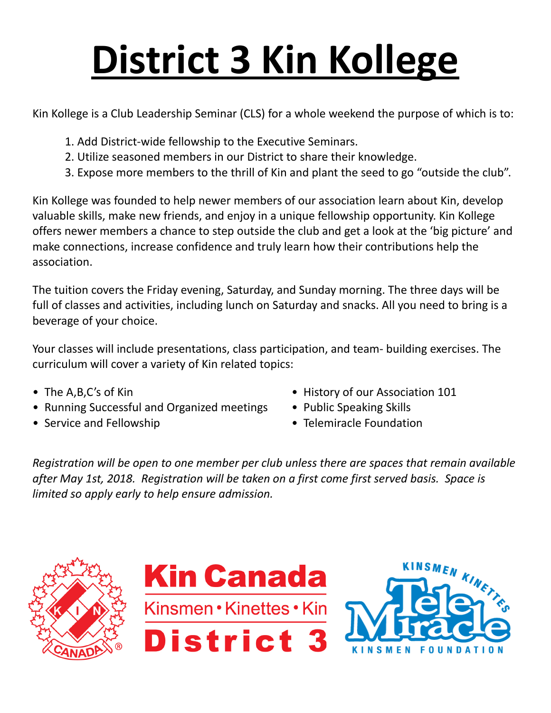## **District 3 Kin Kollege**

Kin Kollege is a Club Leadership Seminar (CLS) for a whole weekend the purpose of which is to:

- 1. Add District-wide fellowship to the Executive Seminars.
- 2. Utilize seasoned members in our District to share their knowledge.
- 3. Expose more members to the thrill of Kin and plant the seed to go "outside the club".

Kin Kollege was founded to help newer members of our association learn about Kin, develop valuable skills, make new friends, and enjoy in a unique fellowship opportunity. Kin Kollege offers newer members a chance to step outside the club and get a look at the 'big picture' and make connections, increase confidence and truly learn how their contributions help the association.

The tuition covers the Friday evening, Saturday, and Sunday morning. The three days will be full of classes and activities, including lunch on Saturday and snacks. All you need to bring is a beverage of your choice.

Your classes will include presentations, class participation, and team- building exercises. The curriculum will cover a variety of Kin related topics:

- 
- Running Successful and Organized meetings Public Speaking Skills
- 
- The A,B,C's of Kin  **History of our Association 101** 
	-
- Service and Fellowship Telemiracle Foundation

*Registration will be open to one member per club unless there are spaces that remain available after May 1st, 2018. Registration will be taken on a first come first served basis. Space is limited so apply early to help ensure admission.*